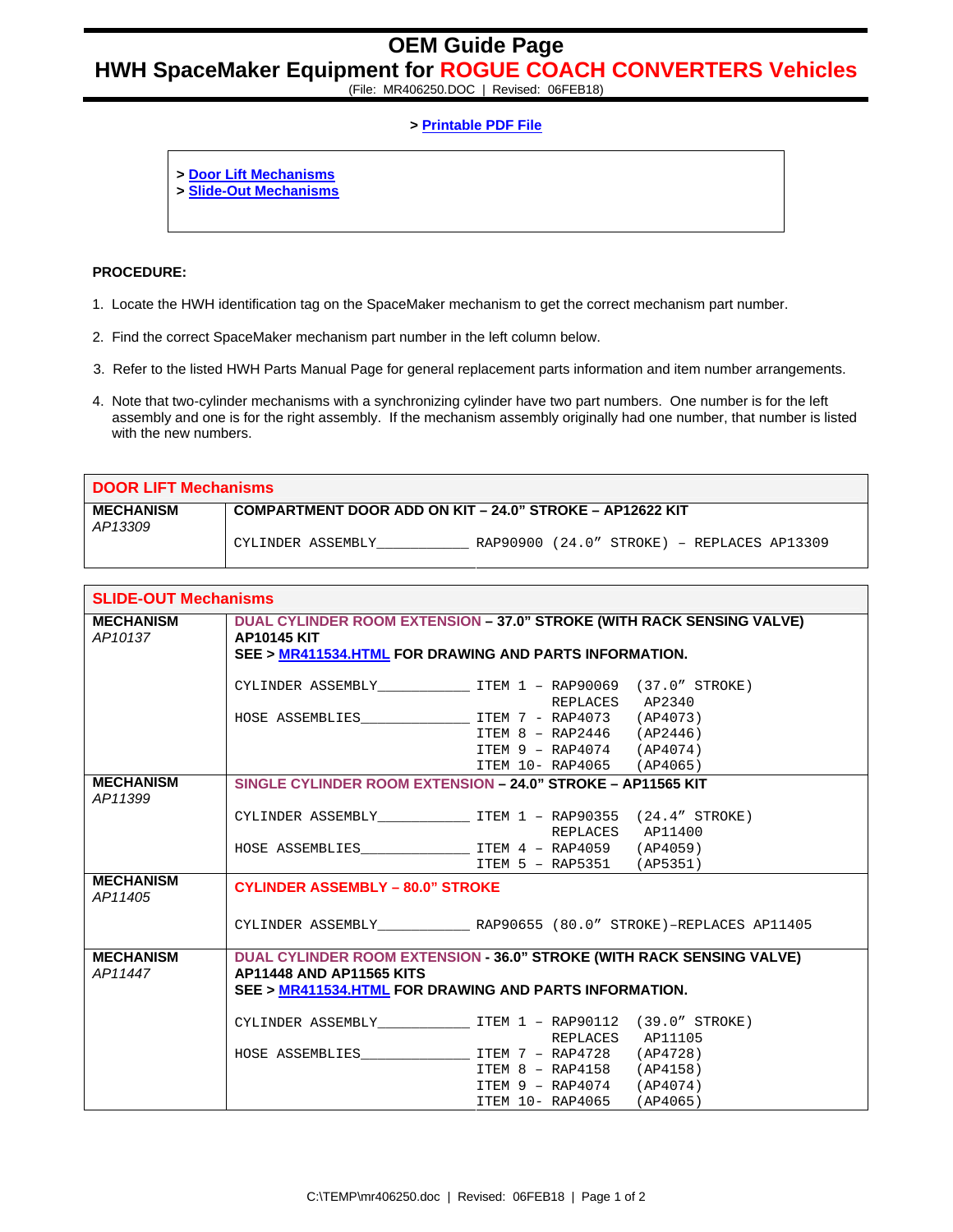## **OEM Guide Page**

## **HWH SpaceMaker Equipment for ROGUE COACH CONVERTERS Vehicles**

(File: MR406250.DOC | Revised: 06FEB18)

## **> Printable PDF File**

- **> Door Lift Mechanisms**
- **> Slide-Out Mechanisms**

## **PROCEDURE:**

- 1. Locate the HWH identification tag on the SpaceMaker mechanism to get the correct mechanism part number.
- 2. Find the correct SpaceMaker mechanism part number in the left column below.
- 3. Refer to the listed HWH Parts Manual Page for general replacement parts information and item number arrangements.
- 4. Note that two-cylinder mechanisms with a synchronizing cylinder have two part numbers. One number is for the left assembly and one is for the right assembly. If the mechanism assembly originally had one number, that number is listed with the new numbers.

| <b>DOOR LIFT Mechanisms</b> |                                                                   |  |  |  |
|-----------------------------|-------------------------------------------------------------------|--|--|--|
| <b>MECHANISM</b><br>AP13309 | COMPARTMENT DOOR ADD ON KIT - 24.0" STROKE - AP12622 KIT          |  |  |  |
|                             | $RAP90900$ (24.0" STROKE) - REPLACES AP13309<br>CYLINDER ASSEMBLY |  |  |  |

| <b>SLIDE-OUT Mechanisms</b> |                                                                                                                                                                    |                                                                                         |  |
|-----------------------------|--------------------------------------------------------------------------------------------------------------------------------------------------------------------|-----------------------------------------------------------------------------------------|--|
| <b>MECHANISM</b><br>AP10137 | DUAL CYLINDER ROOM EXTENSION - 37.0" STROKE (WITH RACK SENSING VALVE)<br><b>AP10145 KIT</b><br>SEE > MR411534.HTML FOR DRAWING AND PARTS INFORMATION.              |                                                                                         |  |
|                             |                                                                                                                                                                    | CYLINDER ASSEMBLY TEM 1 - RAP90069 (37.0" STROKE)<br>REPLACES AP2340                    |  |
|                             |                                                                                                                                                                    | ITEM 8 - RAP2446 (AP2446)                                                               |  |
|                             |                                                                                                                                                                    | ITEM 9 - RAP4074 (AP4074)<br>ITEM 10- RAP4065 (AP4065)                                  |  |
| <b>MECHANISM</b><br>AP11399 | SINGLE CYLINDER ROOM EXTENSION - 24.0" STROKE - AP11565 KIT                                                                                                        |                                                                                         |  |
|                             |                                                                                                                                                                    | CYLINDER ASSEMBLY_________________ ITEM 1 - RAP90355 (24.4" STROKE)<br>REPLACES AP11400 |  |
|                             |                                                                                                                                                                    | ITEM 5 - RAP5351 (AP5351)                                                               |  |
| <b>MECHANISM</b><br>AP11405 | <b>CYLINDER ASSEMBLY - 80.0" STROKE</b>                                                                                                                            |                                                                                         |  |
|                             |                                                                                                                                                                    | CYLINDER ASSEMBLY RAP90655 (80.0" STROKE)-REPLACES AP11405                              |  |
| <b>MECHANISM</b><br>AP11447 | DUAL CYLINDER ROOM EXTENSION - 36.0" STROKE (WITH RACK SENSING VALVE)<br><b>AP11448 AND AP11565 KITS</b><br>SEE > MR411534.HTML FOR DRAWING AND PARTS INFORMATION. |                                                                                         |  |
|                             |                                                                                                                                                                    | CYLINDER ASSEMBLY______________________ ITEM 1 - RAP90112 (39.0" STROKE)                |  |
|                             | HOSE ASSEMBLIES TTEM 7 - RAP4728 (AP4728)                                                                                                                          | REPLACES AP11105                                                                        |  |
|                             |                                                                                                                                                                    | ITEM 8 - RAP4158 (AP4158)<br>ITEM 9 - RAP4074 (AP4074)                                  |  |
|                             |                                                                                                                                                                    | ITEM 10- RAP4065 (AP4065)                                                               |  |